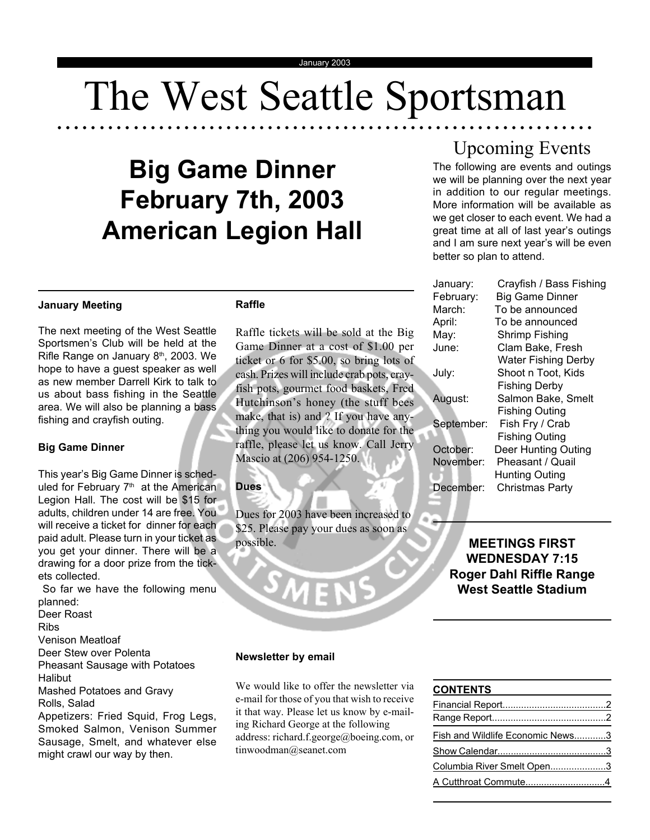# The West Seattle Sportsman

○○○○○○○○○ ○○○○○○○○○○○○○○○○○○○○○○○○○○○○○○○○○○○○○○○○○○○○○○○○○○○○○○○

## **Big Game Dinner February 7th, 2003 American Legion Hall**

## **January Meeting**

The next meeting of the West Seattle Sportsmen's Club will be held at the Rifle Range on January 8<sup>th</sup>, 2003. We hope to have a guest speaker as well as new member Darrell Kirk to talk to us about bass fishing in the Seattle area. We will also be planning a bass fishing and crayfish outing.

## **Big Game Dinner**

This year's Big Game Dinner is scheduled for February 7<sup>th</sup> at the American Legion Hall. The cost will be \$15 for adults, children under 14 are free. You will receive a ticket for dinner for each paid adult. Please turn in your ticket as you get your dinner. There will be a drawing for a door prize from the tickets collected.

 So far we have the following menu planned:

Deer Roast

Ribs

Venison Meatloaf

Deer Stew over Polenta

Pheasant Sausage with Potatoes

Halibut

Mashed Potatoes and Gravy Rolls, Salad

Appetizers: Fried Squid, Frog Legs, Smoked Salmon, Venison Summer Sausage, Smelt, and whatever else might crawl our way by then.

## **Raffle**

Raffle tickets will be sold at the Big Game Dinner at a cost of \$1.00 per ticket or 6 for \$5.00, so bring lots of cash. Prizes will include crab pots, crayfish pots, gourmet food baskets, Fred Hutchinson's honey (the stuff bees make, that is) and ? If you have anything you would like to donate for the raffle, please let us know. Call Jerry Mascio at (206) 954-1250.

**Dues**

Dues for 2003 have been increased to \$25. Please pay your dues as soon as possible.

MEN

## Upcoming Events

The following are events and outings we will be planning over the next year in addition to our regular meetings. More information will be available as we get closer to each event. We had a great time at all of last year's outings and I am sure next year's will be even better so plan to attend.

| January:   | Crayfish / Bass Fishing    |
|------------|----------------------------|
| February:  | <b>Big Game Dinner</b>     |
| March:     | To be announced            |
| April:     | To be announced            |
| May:       | Shrimp Fishing             |
| June:      | Clam Bake, Fresh           |
|            | <b>Water Fishing Derby</b> |
| July:      | Shoot n Toot, Kids         |
|            | <b>Fishing Derby</b>       |
| August:    | Salmon Bake, Smelt         |
|            | <b>Fishing Outing</b>      |
| September: | Fish Fry / Crab            |
|            | <b>Fishing Outing</b>      |
| October:   | Deer Hunting Outing        |
| November:  | Pheasant / Quail           |
|            | <b>Hunting Outing</b>      |
| December:  | <b>Christmas Party</b>     |

**MEETINGS FIRST WEDNESDAY 7:15 Roger Dahl Riffle Range West Seattle Stadium**

## **Newsletter by email**

We would like to offer the newsletter via e-mail for those of you that wish to receive it that way. Please let us know by e-mailing Richard George at the following address: richard.f.george@boeing.com, or tinwoodman@seanet.com

### **CONTENTS**

| Fish and Wildlife Economic News3 |  |
|----------------------------------|--|
|                                  |  |
| Columbia River Smelt Open3       |  |
| A Cutthroat Commute4             |  |
|                                  |  |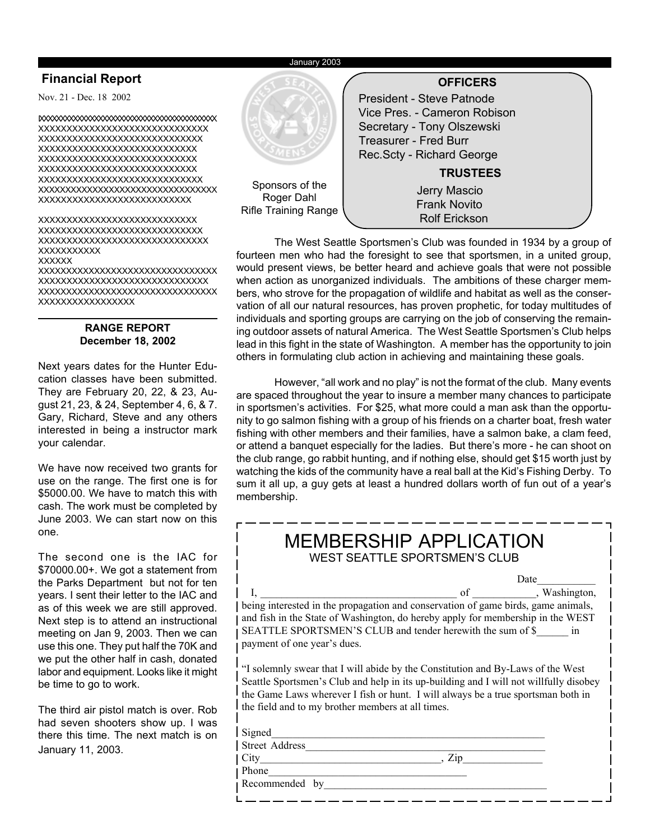#### January 2003

## **Financial Report**

Nov. 21 - Dec. 18 2002

IXXXXXXXXXXXXXXXXXXXXXXXXXXXXXXXXXXXXXXXXXX XXXXXXXXXXXXXXXXXXXXXXXXXXXXXX XXXXXXXXXXXXXXXXXXXXXXXXXXXXX XXXXXXXXXXXXXXXXXXXXXXXXXXXX XXXXXXXXXXXXXXXXXXXXXXXXXXXX XXXXXXXXXXXXXXXXXXXXXXXXXXXX XXXXXXXXXXXXXXXXXXXXXXXXXXXXX XXXXXXXXXXXXXXXXXXXXXXXXXXXXXXXXX XXXXXXXXXXXXXXXXXXXXXXXXXXX

XXXXXXXXXXXXXXXXXXXXXXXXXXXX XXXXXXXXXXXXXXXXXXXXXXXXXXXXX XXXXXXXXXXXXXXXXXXXXXXXXXXXXXX XXXXXXXXXXX

#### **XXXXXX**

XXXXXXXXXXXXXXXXXXXXXXXXXXXXXXXX XXXXXXXXXXXXXXXXXXXXXXXXXXXXXX XXXXXXXXXXXXXXXXXXXXXXXXXXXXXXXX XXXXXXXXXXXXXXXXX

## **RANGE REPORT December 18, 2002**

Next years dates for the Hunter Education classes have been submitted. They are February 20, 22, & 23, August 21, 23, & 24, September 4, 6, & 7. Gary, Richard, Steve and any others interested in being a instructor mark your calendar.

We have now received two grants for use on the range. The first one is for \$5000.00. We have to match this with cash. The work must be completed by June 2003. We can start now on this one.

The second one is the IAC for \$70000.00+. We got a statement from the Parks Department but not for ten years. I sent their letter to the IAC and as of this week we are still approved. Next step is to attend an instructional meeting on Jan 9, 2003. Then we can use this one. They put half the 70K and we put the other half in cash, donated labor and equipment. Looks like it might be time to go to work.

The third air pistol match is over. Rob had seven shooters show up. I was there this time. The next match is on January 11, 2003.



The West Seattle Sportsmen's Club was founded in 1934 by a group of fourteen men who had the foresight to see that sportsmen, in a united group, would present views, be better heard and achieve goals that were not possible when action as unorganized individuals. The ambitions of these charger members, who strove for the propagation of wildlife and habitat as well as the conservation of all our natural resources, has proven prophetic, for today multitudes of individuals and sporting groups are carrying on the job of conserving the remaining outdoor assets of natural America. The West Seattle Sportsmen's Club helps lead in this fight in the state of Washington. A member has the opportunity to join others in formulating club action in achieving and maintaining these goals.

However, "all work and no play" is not the format of the club. Many events are spaced throughout the year to insure a member many chances to participate in sportsmen's activities. For \$25, what more could a man ask than the opportunity to go salmon fishing with a group of his friends on a charter boat, fresh water fishing with other members and their families, have a salmon bake, a clam feed, or attend a banquet especially for the ladies. But there's more - he can shoot on the club range, go rabbit hunting, and if nothing else, should get \$15 worth just by watching the kids of the community have a real ball at the Kid's Fishing Derby. To sum it all up, a guy gets at least a hundred dollars worth of fun out of a year's membership.

|                         | <b>MEMBERSHIP APPLICATION</b><br><b>WEST SEATTLE SPORTSMEN'S CLUB</b>                                                                                                                                                                                                                                             |
|-------------------------|-------------------------------------------------------------------------------------------------------------------------------------------------------------------------------------------------------------------------------------------------------------------------------------------------------------------|
|                         | Date<br>of , Washington,<br>being interested in the propagation and conservation of game birds, game animals,<br>and fish in the State of Washington, do hereby apply for membership in the WEST<br>SEATTLE SPORTSMEN'S CLUB and tender herewith the sum of \$ in<br>payment of one year's dues.                  |
|                         | "I solemnly swear that I will abide by the Constitution and By-Laws of the West<br>Seattle Sportsmen's Club and help in its up-building and I will not willfully disobey<br>the Game Laws wherever I fish or hunt. I will always be a true sportsman both in<br>the field and to my brother members at all times. |
| Signed<br>City<br>Phone | Street Address<br>$\mathbf{Z}_{1}$                                                                                                                                                                                                                                                                                |

Recommended by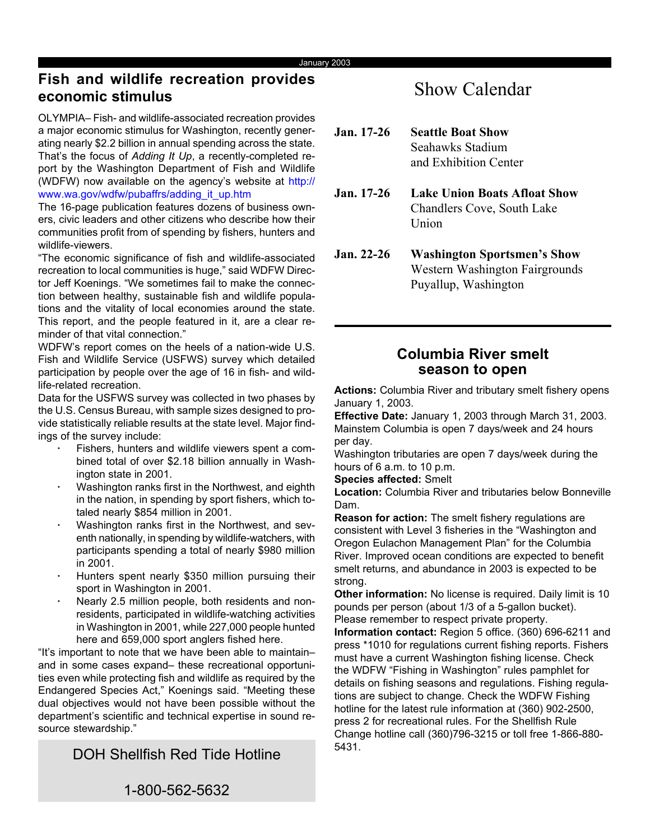## **Fish and wildlife recreation provides economic stimulus**

OLYMPIA– Fish- and wildlife-associated recreation provides a major economic stimulus for Washington, recently generating nearly \$2.2 billion in annual spending across the state. That's the focus of *Adding It Up*, a recently-completed report by the Washington Department of Fish and Wildlife (WDFW) now available on the agency's website at http:// www.wa.gov/wdfw/pubaffrs/adding\_it\_up.htm

The 16-page publication features dozens of business owners, civic leaders and other citizens who describe how their communities profit from of spending by fishers, hunters and wildlife-viewers.

"The economic significance of fish and wildlife-associated recreation to local communities is huge," said WDFW Director Jeff Koenings. "We sometimes fail to make the connection between healthy, sustainable fish and wildlife populations and the vitality of local economies around the state. This report, and the people featured in it, are a clear reminder of that vital connection."

WDFW's report comes on the heels of a nation-wide U.S. Fish and Wildlife Service (USFWS) survey which detailed participation by people over the age of 16 in fish- and wildlife-related recreation.

Data for the USFWS survey was collected in two phases by the U.S. Census Bureau, with sample sizes designed to provide statistically reliable results at the state level. Major findings of the survey include:

- **·** Fishers, hunters and wildlife viewers spent a combined total of over \$2.18 billion annually in Washington state in 2001.
- **·** Washington ranks first in the Northwest, and eighth in the nation, in spending by sport fishers, which totaled nearly \$854 million in 2001.
- **·** Washington ranks first in the Northwest, and seventh nationally, in spending by wildlife-watchers, with participants spending a total of nearly \$980 million in 2001.
- **·** Hunters spent nearly \$350 million pursuing their sport in Washington in 2001.
- **·** Nearly 2.5 million people, both residents and nonresidents, participated in wildlife-watching activities in Washington in 2001, while 227,000 people hunted here and 659,000 sport anglers fished here.

"It's important to note that we have been able to maintain– and in some cases expand– these recreational opportunities even while protecting fish and wildlife as required by the Endangered Species Act," Koenings said. "Meeting these dual objectives would not have been possible without the department's scientific and technical expertise in sound resource stewardship."

DOH Shellfish Red Tide Hotline

## Show Calendar

| $Jan. 17-26$      | <b>Seattle Boat Show</b><br>Seahawks Stadium<br>and Exhibition Center      |
|-------------------|----------------------------------------------------------------------------|
| <b>Jan.</b> 17-26 | Lake Union Boats Afloat Show<br><b>Chandlers Cove, South Lake</b><br>Union |
| Jan 22-26         | Washington Sportsmen's Show                                                |

**Jan. 22-26 Washington Sportsmen's Show** Western Washington Fairgrounds Puyallup, Washington

## **season to open Columbia River smelt**

**Actions:** Columbia River and tributary smelt fishery opens January 1, 2003.

**Effective Date:** January 1, 2003 through March 31, 2003. Mainstem Columbia is open 7 days/week and 24 hours per day.

Washington tributaries are open 7 days/week during the hours of 6 a.m. to 10 p.m.

**Species affected:** Smelt

**Location:** Columbia River and tributaries below Bonneville Dam.

**Reason for action:** The smelt fishery regulations are consistent with Level 3 fisheries in the "Washington and Oregon Eulachon Management Plan" for the Columbia River. Improved ocean conditions are expected to benefit smelt returns, and abundance in 2003 is expected to be strong.

**Other information:** No license is required. Daily limit is 10 pounds per person (about 1/3 of a 5-gallon bucket). Please remember to respect private property.

**Information contact:** Region 5 office. (360) 696-6211 and press \*1010 for regulations current fishing reports. Fishers must have a current Washington fishing license. Check the WDFW "Fishing in Washington" rules pamphlet for details on fishing seasons and regulations. Fishing regulations are subject to change. Check the WDFW Fishing hotline for the latest rule information at (360) 902-2500, press 2 for recreational rules. For the Shellfish Rule Change hotline call (360)796-3215 or toll free 1-866-880- 5431.

1-800-562-5632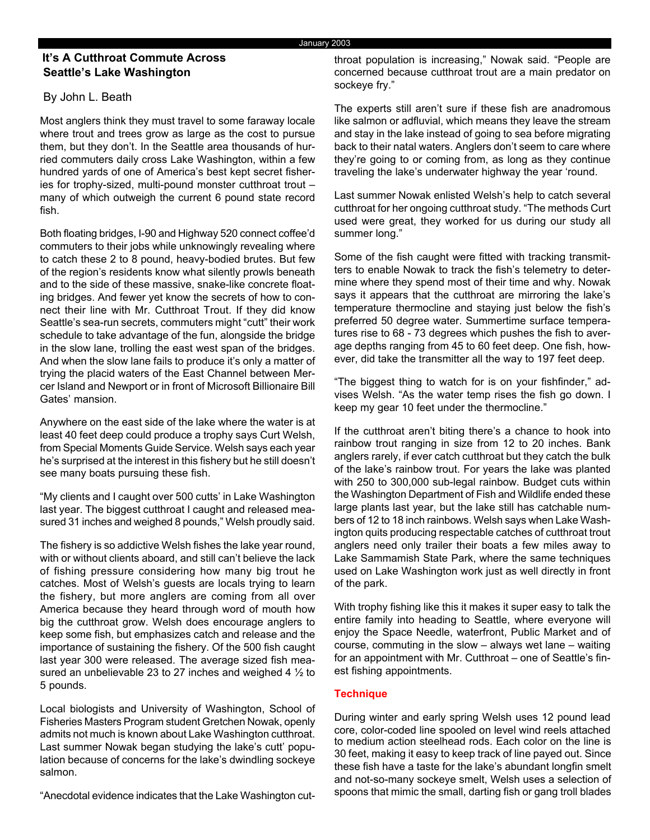## **Seattle's Lake Washington It's A Cutthroat Commute Across**

## By John L. Beath

Most anglers think they must travel to some faraway locale where trout and trees grow as large as the cost to pursue them, but they don't. In the Seattle area thousands of hurried commuters daily cross Lake Washington, within a few hundred yards of one of America's best kept secret fisheries for trophy-sized, multi-pound monster cutthroat trout – many of which outweigh the current 6 pound state record fish.

Both floating bridges, I-90 and Highway 520 connect coffee'd commuters to their jobs while unknowingly revealing where to catch these 2 to 8 pound, heavy-bodied brutes. But few of the region's residents know what silently prowls beneath and to the side of these massive, snake-like concrete floating bridges. And fewer yet know the secrets of how to connect their line with Mr. Cutthroat Trout. If they did know Seattle's sea-run secrets, commuters might "cutt" their work schedule to take advantage of the fun, alongside the bridge in the slow lane, trolling the east west span of the bridges. And when the slow lane fails to produce it's only a matter of trying the placid waters of the East Channel between Mercer Island and Newport or in front of Microsoft Billionaire Bill Gates' mansion.

Anywhere on the east side of the lake where the water is at least 40 feet deep could produce a trophy says Curt Welsh, from Special Moments Guide Service. Welsh says each year he's surprised at the interest in this fishery but he still doesn't see many boats pursuing these fish.

"My clients and I caught over 500 cutts' in Lake Washington last year. The biggest cutthroat I caught and released measured 31 inches and weighed 8 pounds," Welsh proudly said.

The fishery is so addictive Welsh fishes the lake year round, with or without clients aboard, and still can't believe the lack of fishing pressure considering how many big trout he catches. Most of Welsh's guests are locals trying to learn the fishery, but more anglers are coming from all over America because they heard through word of mouth how big the cutthroat grow. Welsh does encourage anglers to keep some fish, but emphasizes catch and release and the importance of sustaining the fishery. Of the 500 fish caught last year 300 were released. The average sized fish measured an unbelievable 23 to 27 inches and weighed 4 ½ to 5 pounds.

Local biologists and University of Washington, School of Fisheries Masters Program student Gretchen Nowak, openly admits not much is known about Lake Washington cutthroat. Last summer Nowak began studying the lake's cutt' population because of concerns for the lake's dwindling sockeye salmon.

"Anecdotal evidence indicates that the Lake Washington cut-

throat population is increasing," Nowak said. "People are concerned because cutthroat trout are a main predator on sockeye fry."

The experts still aren't sure if these fish are anadromous like salmon or adfluvial, which means they leave the stream and stay in the lake instead of going to sea before migrating back to their natal waters. Anglers don't seem to care where they're going to or coming from, as long as they continue traveling the lake's underwater highway the year 'round.

Last summer Nowak enlisted Welsh's help to catch several cutthroat for her ongoing cutthroat study. "The methods Curt used were great, they worked for us during our study all summer long."

Some of the fish caught were fitted with tracking transmitters to enable Nowak to track the fish's telemetry to determine where they spend most of their time and why. Nowak says it appears that the cutthroat are mirroring the lake's temperature thermocline and staying just below the fish's preferred 50 degree water. Summertime surface temperatures rise to 68 - 73 degrees which pushes the fish to average depths ranging from 45 to 60 feet deep. One fish, however, did take the transmitter all the way to 197 feet deep.

"The biggest thing to watch for is on your fishfinder," advises Welsh. "As the water temp rises the fish go down. I keep my gear 10 feet under the thermocline."

If the cutthroat aren't biting there's a chance to hook into rainbow trout ranging in size from 12 to 20 inches. Bank anglers rarely, if ever catch cutthroat but they catch the bulk of the lake's rainbow trout. For years the lake was planted with 250 to 300,000 sub-legal rainbow. Budget cuts within the Washington Department of Fish and Wildlife ended these large plants last year, but the lake still has catchable numbers of 12 to 18 inch rainbows. Welsh says when Lake Washington quits producing respectable catches of cutthroat trout anglers need only trailer their boats a few miles away to Lake Sammamish State Park, where the same techniques used on Lake Washington work just as well directly in front of the park.

With trophy fishing like this it makes it super easy to talk the entire family into heading to Seattle, where everyone will enjoy the Space Needle, waterfront, Public Market and of course, commuting in the slow – always wet lane – waiting for an appointment with Mr. Cutthroat – one of Seattle's finest fishing appointments.

## **Technique**

During winter and early spring Welsh uses 12 pound lead core, color-coded line spooled on level wind reels attached to medium action steelhead rods. Each color on the line is 30 feet, making it easy to keep track of line payed out. Since these fish have a taste for the lake's abundant longfin smelt and not-so-many sockeye smelt, Welsh uses a selection of spoons that mimic the small, darting fish or gang troll blades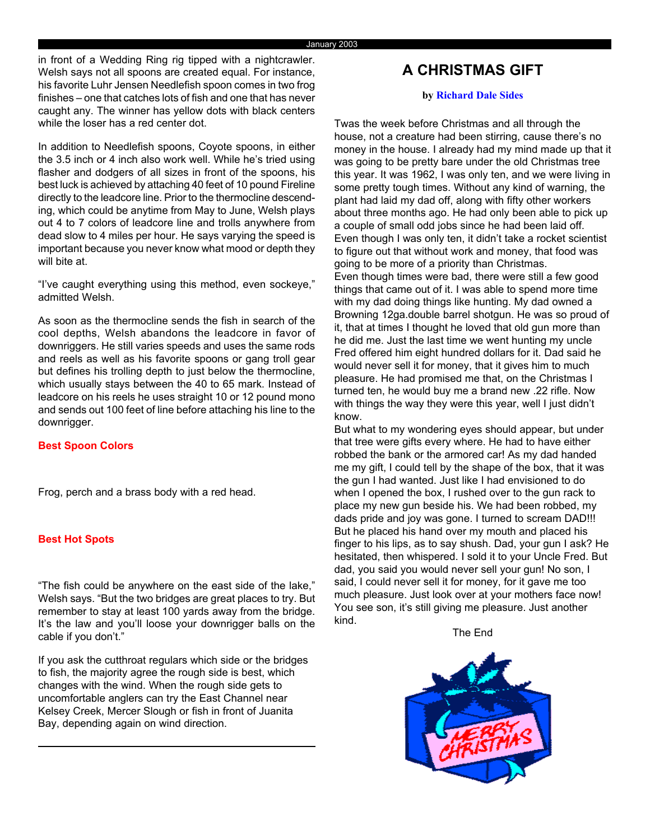in front of a Wedding Ring rig tipped with a nightcrawler. Welsh says not all spoons are created equal. For instance, his favorite Luhr Jensen Needlefish spoon comes in two frog finishes – one that catches lots of fish and one that has never caught any. The winner has yellow dots with black centers while the loser has a red center dot.

In addition to Needlefish spoons, Coyote spoons, in either the 3.5 inch or 4 inch also work well. While he's tried using flasher and dodgers of all sizes in front of the spoons, his best luck is achieved by attaching 40 feet of 10 pound Fireline directly to the leadcore line. Prior to the thermocline descending, which could be anytime from May to June, Welsh plays out 4 to 7 colors of leadcore line and trolls anywhere from dead slow to 4 miles per hour. He says varying the speed is important because you never know what mood or depth they will bite at.

"I've caught everything using this method, even sockeye," admitted Welsh.

As soon as the thermocline sends the fish in search of the cool depths, Welsh abandons the leadcore in favor of downriggers. He still varies speeds and uses the same rods and reels as well as his favorite spoons or gang troll gear but defines his trolling depth to just below the thermocline, which usually stays between the 40 to 65 mark. Instead of leadcore on his reels he uses straight 10 or 12 pound mono and sends out 100 feet of line before attaching his line to the downrigger.

## **Best Spoon Colors**

Frog, perch and a brass body with a red head.

## **Best Hot Spots**

"The fish could be anywhere on the east side of the lake," Welsh says. "But the two bridges are great places to try. But remember to stay at least 100 yards away from the bridge. It's the law and you'll loose your downrigger balls on the cable if you don't."

If you ask the cutthroat regulars which side or the bridges to fish, the majority agree the rough side is best, which changes with the wind. When the rough side gets to uncomfortable anglers can try the East Channel near Kelsey Creek, Mercer Slough or fish in front of Juanita Bay, depending again on wind direction.

## **A CHRISTMAS GIFT**

#### **by Richard Dale Sides**

Twas the week before Christmas and all through the house, not a creature had been stirring, cause there's no money in the house. I already had my mind made up that it was going to be pretty bare under the old Christmas tree this year. It was 1962, I was only ten, and we were living in some pretty tough times. Without any kind of warning, the plant had laid my dad off, along with fifty other workers about three months ago. He had only been able to pick up a couple of small odd jobs since he had been laid off. Even though I was only ten, it didn't take a rocket scientist to figure out that without work and money, that food was going to be more of a priority than Christmas. Even though times were bad, there were still a few good things that came out of it. I was able to spend more time with my dad doing things like hunting. My dad owned a Browning 12ga.double barrel shotgun. He was so proud of it, that at times I thought he loved that old gun more than he did me. Just the last time we went hunting my uncle Fred offered him eight hundred dollars for it. Dad said he would never sell it for money, that it gives him to much pleasure. He had promised me that, on the Christmas I turned ten, he would buy me a brand new .22 rifle. Now with things the way they were this year, well I just didn't know.

But what to my wondering eyes should appear, but under that tree were gifts every where. He had to have either robbed the bank or the armored car! As my dad handed me my gift, I could tell by the shape of the box, that it was the gun I had wanted. Just like I had envisioned to do when I opened the box, I rushed over to the gun rack to place my new gun beside his. We had been robbed, my dads pride and joy was gone. I turned to scream DAD!!! But he placed his hand over my mouth and placed his finger to his lips, as to say shush. Dad, your gun I ask? He hesitated, then whispered. I sold it to your Uncle Fred. But dad, you said you would never sell your gun! No son, I said, I could never sell it for money, for it gave me too much pleasure. Just look over at your mothers face now! You see son, it's still giving me pleasure. Just another kind.

The End